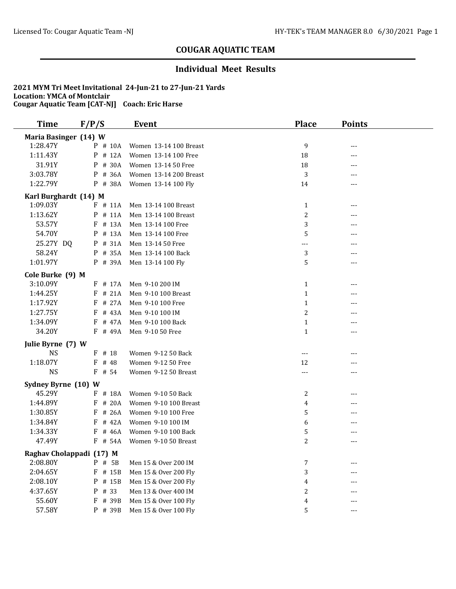## **Individual Meet Results**

| <b>Time</b>              | F/P/S      | <b>Event</b>           | <b>Place</b>     | <b>Points</b> |  |
|--------------------------|------------|------------------------|------------------|---------------|--|
| Maria Basinger (14) W    |            |                        |                  |               |  |
| 1:28.47Y                 | $P$ # 10A  | Women 13-14 100 Breast | 9                | ---           |  |
| 1:11.43Y                 | $P$ # 12A  | Women 13-14 100 Free   | 18               | ---           |  |
| 31.91Y                   | P # 30A    | Women 13-14 50 Free    | 18               | ---           |  |
| 3:03.78Y                 | P<br># 36A | Women 13-14 200 Breast | 3                | ---           |  |
| 1:22.79Y                 | P # 38A    | Women 13-14 100 Fly    | 14               | ---           |  |
| Karl Burghardt (14) M    |            |                        |                  |               |  |
| 1:09.03Y                 | $F$ # 11A  | Men 13-14 100 Breast   | $\mathbf{1}$     | ---           |  |
| 1:13.62Y                 | # 11A<br>P | Men 13-14 100 Breast   | $\overline{2}$   | ---           |  |
| 53.57Y                   | F # 13A    | Men 13-14 100 Free     | 3                |               |  |
| 54.70Y                   | P # 13A    | Men 13-14 100 Free     | 5                |               |  |
| 25.27Y DQ                | P # 31A    | Men 13-14 50 Free      | ---              |               |  |
| 58.24Y                   | $P$ # 35A  | Men 13-14 100 Back     | 3                |               |  |
| 1:01.97Y                 | P # 39A    | Men 13-14 100 Fly      | 5                | ---           |  |
| Cole Burke (9) M         |            |                        |                  |               |  |
| 3:10.09Y                 | $F$ # 17A  | Men 9-10 200 IM        | $\mathbf{1}$     | ---           |  |
| 1:44.25Y                 | $F$ # 21A  | Men 9-10 100 Breast    | $\mathbf{1}$     |               |  |
| 1:17.92Y                 | # 27A<br>F | Men 9-10 100 Free      | $\mathbf{1}$     |               |  |
| 1:27.75Y                 | # 43A<br>F | Men 9-10 100 IM        | 2                |               |  |
| 1:34.09Y                 | F # 47A    | Men 9-10 100 Back      | $\mathbf{1}$     |               |  |
| 34.20Y                   | $F$ # 49A  | Men 9-10 50 Free       | $\mathbf{1}$     | ---           |  |
| Julie Byrne (7) W        |            |                        |                  |               |  |
| <b>NS</b>                | $F$ # 18   | Women 9-12 50 Back     | $---$            | ---           |  |
| 1:18.07Y                 | $F$ # 48   | Women 9-12 50 Free     | 12               |               |  |
| <b>NS</b>                | $F$ # 54   | Women 9-12 50 Breast   | $---$            | ---           |  |
| Sydney Byrne (10) W      |            |                        |                  |               |  |
| 45.29Y                   | F # 18A    | Women 9-10 50 Back     | 2                | ---           |  |
| 1:44.89Y                 | # 20A<br>F | Women 9-10 100 Breast  | 4                | ---           |  |
| 1:30.85Y                 | $F$ # 26A  | Women 9-10 100 Free    | 5                |               |  |
| 1:34.84Y                 | # 42A<br>F | Women 9-10 100 IM      | 6                | ---           |  |
| 1:34.33Y                 | $F$ # 46A  | Women 9-10 100 Back    | 5                |               |  |
| 47.49Y                   | $F$ # 54A  | Women 9-10 50 Breast   | 2                | ---           |  |
| Raghav Cholappadi (17) M |            |                        |                  |               |  |
| 2:08.80Y                 | P # 5B     | Men 15 & Over 200 IM   | 7                |               |  |
| 2:04.65Y                 | F # 15B    | Men 15 & Over 200 Fly  | 3                |               |  |
| 2:08.10Y                 | P # 15B    | Men 15 & Over 200 Fly  | 4                |               |  |
| 4:37.65Y                 | P # 33     | Men 13 & Over 400 IM   | $\boldsymbol{2}$ | ---           |  |
| 55.60Y                   | F # 39B    | Men 15 & Over 100 Fly  | 4                |               |  |
| 57.58Y                   | P # 39B    | Men 15 & Over 100 Fly  | 5                | ---           |  |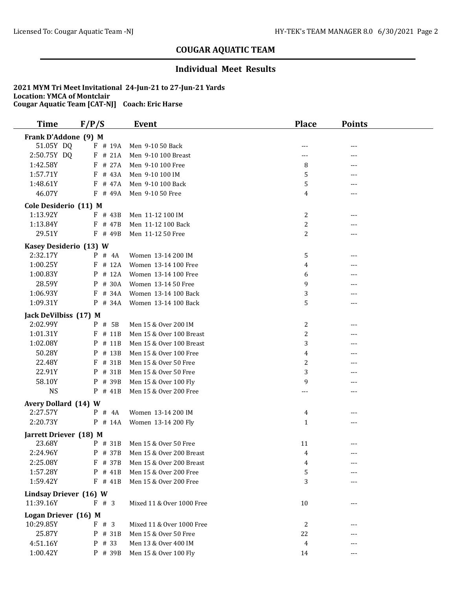### **Individual Meet Results**

| <b>Time</b>            | F/P/S      | <b>Event</b>                     | <b>Place</b>   | <b>Points</b> |  |
|------------------------|------------|----------------------------------|----------------|---------------|--|
| Frank D'Addone (9) M   |            |                                  |                |               |  |
| 51.05Y DQ              | $F$ # 19A  | Men 9-10 50 Back                 |                | ---           |  |
| 2:50.75Y DQ            | $F$ # 21A  | Men 9-10 100 Breast              | ---            |               |  |
| 1:42.58Y               | $F$ # 27A  | Men 9-10 100 Free                | 8              |               |  |
| 1:57.71Y               | $F$ # 43A  | Men 9-10 100 IM                  | 5              | ---           |  |
| 1:48.61Y               | $F$ # 47A  | Men 9-10 100 Back                | 5              |               |  |
| 46.07Y                 | $F$ # 49A  | Men 9-10 50 Free                 | 4              | ---           |  |
| Cole Desiderio (11) M  |            |                                  |                |               |  |
| 1:13.92Y               | $F$ # 43B  | Men 11-12 100 IM                 | 2              | ---           |  |
| 1:13.84Y               | $F$ # 47B  | Men 11-12 100 Back               | 2              | ---           |  |
| 29.51Y                 | $F$ # 49B  | Men 11-12 50 Free                | $\overline{c}$ | ---           |  |
| Kasey Desiderio (13) W |            |                                  |                |               |  |
| 2:32.17Y               | $P$ # 4A   | Women 13-14 200 IM               | 5              | ---           |  |
| 1:00.25Y               | $F$ # 12A  | Women 13-14 100 Free             | 4              |               |  |
| 1:00.83Y               | # 12A<br>P | Women 13-14 100 Free             | 6              |               |  |
| 28.59Y                 | # 30A<br>P | Women 13-14 50 Free              | 9              |               |  |
| 1:06.93Y               | # 34A<br>F | Women 13-14 100 Back             | 3              |               |  |
| 1:09.31Y               | $P$ # 34A  | Women 13-14 100 Back             | 5              | ---           |  |
|                        |            |                                  |                |               |  |
| Jack DeVilbiss (17) M  |            |                                  |                |               |  |
| 2:02.99Y               | P # 5B     | Men 15 & Over 200 IM             | 2              | ---           |  |
| 1:01.31Y               | # 11B<br>F | Men 15 & Over 100 Breast         | $\overline{c}$ | ---           |  |
| 1:02.08Y               | # 11B<br>P | Men 15 & Over 100 Breast         | 3              | ---           |  |
| 50.28Y                 | P # 13B    | Men 15 & Over 100 Free           | 4              |               |  |
| 22.48Y                 | # 31B<br>F | Men 15 & Over 50 Free            | 2              |               |  |
| 22.91Y                 | P # 31B    | Men 15 & Over 50 Free            | 3              |               |  |
| 58.10Y                 | P # 39B    | Men 15 & Over 100 Fly            | 9              | ---           |  |
| <b>NS</b>              | $P$ # 41B  | Men 15 & Over 200 Free           | ---            | ---           |  |
| Avery Dollard (14) W   |            |                                  |                |               |  |
| 2:27.57Y               | $P$ # 4A   | Women 13-14 200 IM               | 4              | ---           |  |
| 2:20.73Y               | $P$ # 14A  | Women 13-14 200 Fly              | $\mathbf{1}$   | ---           |  |
| Jarrett Driever (18) M |            |                                  |                |               |  |
| 23.68Y                 | P # 31B    | Men 15 & Over 50 Free            | 11             | ---           |  |
| 2:24.96Y               |            | P # 37B Men 15 & Over 200 Breast | 4              |               |  |
| 2:25.08Y               | $F$ # 37B  | Men 15 & Over 200 Breast         | 4              |               |  |
| 1:57.28Y               | P # 41B    | Men 15 & Over 200 Free           | 5              |               |  |
| 1:59.42Y               | $F$ # 41B  | Men 15 & Over 200 Free           | 3              |               |  |
| Lindsay Driever (16) W |            |                                  |                |               |  |
| 11:39.16Y              | # 3<br>F   | Mixed 11 & Over 1000 Free        | 10             | ---           |  |
| Logan Driever (16) M   |            |                                  |                |               |  |
| 10:29.85Y              | F # 3      | Mixed 11 & Over 1000 Free        | 2              |               |  |
| 25.87Y                 | P # 31B    | Men 15 & Over 50 Free            | 22             |               |  |
| 4:51.16Y               | P # 33     | Men 13 & Over 400 IM             | 4              | ---           |  |
| 1:00.42Y               | P # 39B    | Men 15 & Over 100 Fly            | 14             | ---           |  |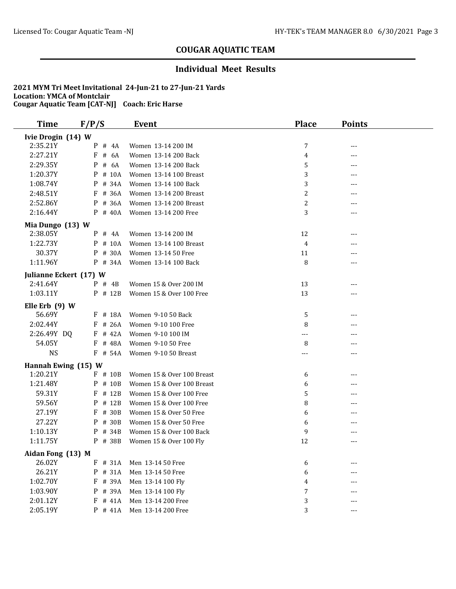## **Individual Meet Results**

| <b>Time</b>                | F/P/S      | <b>Event</b>               | <b>Place</b>     | <b>Points</b> |  |
|----------------------------|------------|----------------------------|------------------|---------------|--|
| Ivie Drogin (14) W         |            |                            |                  |               |  |
| 2:35.21Y                   | $P$ # 4A   | Women 13-14 200 IM         | 7                | ---           |  |
| 2:27.21Y                   | F<br># 6A  | Women 13-14 200 Back       | 4                | ---           |  |
| 2:29.35Y                   | P<br># 6A  | Women 13-14 200 Back       | 5                |               |  |
| 1:20.37Y                   | P<br># 10A | Women 13-14 100 Breast     | 3                | ---           |  |
| 1:08.74Y                   | # 34A<br>P | Women 13-14 100 Back       | 3                |               |  |
| 2:48.51Y                   | $F$ # 36A  | Women 13-14 200 Breast     | 2                | ---           |  |
| 2:52.86Y                   | P # 36A    | Women 13-14 200 Breast     | 2                |               |  |
| 2:16.44Y                   | $P$ # 40A  | Women 13-14 200 Free       | 3                | ---           |  |
| Mia Dungo (13) W           |            |                            |                  |               |  |
| 2:38.05Y                   | $P$ # 4A   | Women 13-14 200 IM         | 12               |               |  |
| 1:22.73Y                   | $P$ # 10A  | Women 13-14 100 Breast     | 4                |               |  |
| 30.37Y                     | P # 30A    | Women 13-14 50 Free        | 11               |               |  |
| 1:11.96Y                   | P # 34A    | Women 13-14 100 Back       | 8                | ---           |  |
| Julianne Eckert (17) W     |            |                            |                  |               |  |
| 2:41.64Y                   | $P$ # 4B   | Women 15 & Over 200 IM     | 13               | ---           |  |
| 1:03.11Y                   | P # 12B    | Women 15 & Over 100 Free   | 13               | ---           |  |
|                            |            |                            |                  |               |  |
| Elle Erb $(9)$ W<br>56.69Y | F # 18A    |                            |                  |               |  |
|                            |            | Women 9-10 50 Back         | 5                |               |  |
| 2:02.44Y                   | $F$ # 26A  | Women 9-10 100 Free        | 8                |               |  |
| 2:26.49Y DQ                | $F$ # 42A  | Women 9-10 100 IM          | ---              | ---           |  |
| 54.05Y                     | F # 48A    | Women 9-10 50 Free         | 8                | ---           |  |
| <b>NS</b>                  | $F$ # 54A  | Women 9-10 50 Breast       | $---$            | $---$         |  |
| Hannah Ewing (15) W        |            |                            |                  |               |  |
| 1:20.21Y                   | $F$ # 10B  | Women 15 & Over 100 Breast | 6                | $---$         |  |
| 1:21.48Y                   | # 10B<br>P | Women 15 & Over 100 Breast | 6                |               |  |
| 59.31Y                     | # 12B<br>F | Women 15 & Over 100 Free   | 5                | ---           |  |
| 59.56Y                     | # 12B<br>P | Women 15 & Over 100 Free   | 8                |               |  |
| 27.19Y                     | # 30B<br>F | Women 15 & Over 50 Free    | 6                |               |  |
| 27.22Y                     | # 30B<br>P | Women 15 & Over 50 Free    | 6                |               |  |
| 1:10.13Y                   | P # 34B    | Women 15 & Over 100 Back   | 9                |               |  |
| 1:11.75Y                   | P # 38B    | Women 15 & Over 100 Fly    | 12               | $---$         |  |
| Aidan Fong (13) M          |            |                            |                  |               |  |
| 26.02Y                     | $F$ # 31A  | Men 13-14 50 Free          | 6                |               |  |
| 26.21Y                     | # 31A<br>P | Men 13-14 50 Free          | 6                |               |  |
| 1:02.70Y                   | F # 39A    | Men 13-14 100 Fly          | 4                |               |  |
| 1:03.90Y                   | # 39A<br>P | Men 13-14 100 Fly          | $\boldsymbol{7}$ |               |  |
| 2:01.12Y                   | $F$ # 41A  | Men 13-14 200 Free         | 3                |               |  |
| 2:05.19Y                   | $P$ # 41A  | Men 13-14 200 Free         | 3                | $---$         |  |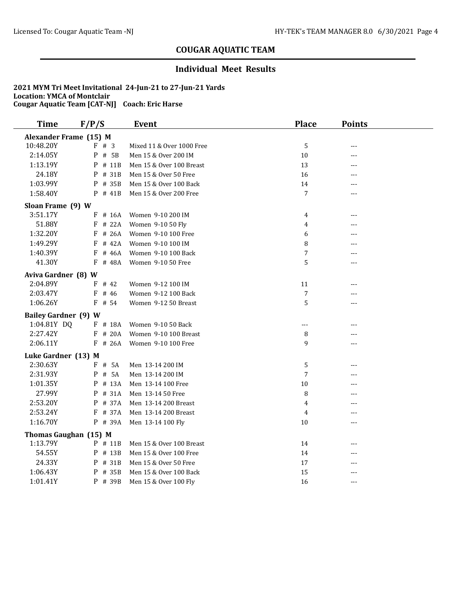## **Individual Meet Results**

| <b>Time</b>                 | F/P/S       | <b>Event</b>              | <b>Place</b>   | <b>Points</b> |  |
|-----------------------------|-------------|---------------------------|----------------|---------------|--|
| Alexander Frame (15) M      |             |                           |                |               |  |
| 10:48.20Y                   | $F \# 3$    | Mixed 11 & Over 1000 Free | 5              | ---           |  |
| 2:14.05Y                    | P<br>$#$ 5B | Men 15 & Over 200 IM      | 10             |               |  |
| 1:13.19Y                    | P<br># 11B  | Men 15 & Over 100 Breast  | 13             |               |  |
| 24.18Y                      | P # 31B     | Men 15 & Over 50 Free     | 16             |               |  |
| 1:03.99Y                    | P<br># 35B  | Men 15 & Over 100 Back    | 14             |               |  |
| 1:58.40Y                    | $P$ # 41B   | Men 15 & Over 200 Free    | 7              | ---           |  |
| Sloan Frame (9) W           |             |                           |                |               |  |
| 3:51.17Y                    | $F$ # 16A   | Women 9-10 200 IM         | 4              | ---           |  |
| 51.88Y                      | $F$ # 22A   | Women 9-10 50 Fly         | 4              |               |  |
| 1:32.20Y                    | $F$ # 26A   | Women 9-10 100 Free       | 6              |               |  |
| 1:49.29Y                    | $F$ # 42A   | Women 9-10 100 IM         | 8              |               |  |
| 1:40.39Y                    | # 46A<br>F  | Women 9-10 100 Back       | $\overline{7}$ |               |  |
| 41.30Y                      | F # 48A     | Women 9-10 50 Free        | 5              | ---           |  |
| Aviva Gardner (8) W         |             |                           |                |               |  |
| 2:04.89Y                    | $F$ # 42    | Women 9-12 100 IM         | 11             |               |  |
| 2:03.47Y                    | $F$ # 46    | Women 9-12 100 Back       | 7              | ---           |  |
| 1:06.26Y                    | $F$ # 54    | Women 9-12 50 Breast      | 5              | $---$         |  |
| <b>Bailey Gardner (9) W</b> |             |                           |                |               |  |
| 1:04.81Y DQ                 | $F$ # 18A   | Women 9-10 50 Back        | ---            | ---           |  |
| 2:27.42Y                    | $F$ # 20A   | Women 9-10 100 Breast     | 8              |               |  |
| 2:06.11Y                    | $F$ # 26A   | Women 9-10 100 Free       | 9              | ---           |  |
|                             |             |                           |                |               |  |
| Luke Gardner (13) M         |             |                           |                |               |  |
| 2:30.63Y                    | F # 5A      | Men 13-14 200 IM          | 5              |               |  |
| 2:31.93Y                    | P # 5A      | Men 13-14 200 IM          | 7              | ---           |  |
| 1:01.35Y                    | P # 13A     | Men 13-14 100 Free        | 10             | ---           |  |
| 27.99Y                      | P # 31A     | Men 13-14 50 Free         | 8              | $---$         |  |
| 2:53.20Y                    | P # 37A     | Men 13-14 200 Breast      | 4              | ---           |  |
| 2:53.24Y                    | F # 37A     | Men 13-14 200 Breast      | 4              | ---           |  |
| 1:16.70Y                    | P # 39A     | Men 13-14 100 Fly         | 10             | ---           |  |
| Thomas Gaughan (15) M       |             |                           |                |               |  |
| 1:13.79Y                    | $P$ # 11B   | Men 15 & Over 100 Breast  | 14             | $---$         |  |
| 54.55Y                      | P # 13B     | Men 15 & Over 100 Free    | 14             | $---$         |  |
| 24.33Y                      | P # 31B     | Men 15 & Over 50 Free     | 17             | ---           |  |
| 1:06.43Y                    | # 35B<br>P  | Men 15 & Over 100 Back    | 15             | ---           |  |
| 1:01.41Y                    | P # 39B     | Men 15 & Over 100 Fly     | 16             | $---$         |  |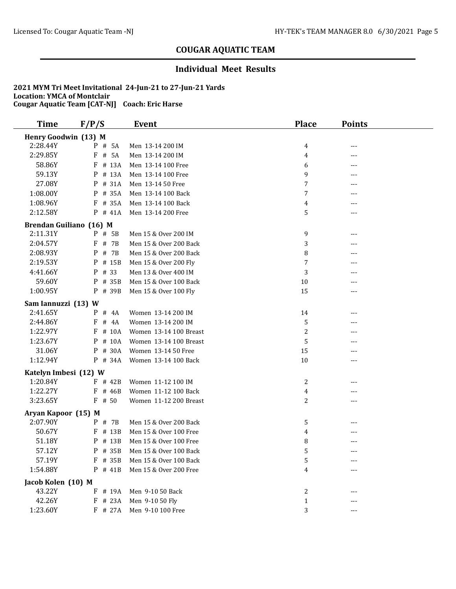### **Individual Meet Results**

| <b>Time</b>                     | F/P/S      | <b>Event</b>           | <b>Place</b>   | <b>Points</b> |  |
|---------------------------------|------------|------------------------|----------------|---------------|--|
| Henry Goodwin (13) M            |            |                        |                |               |  |
| 2:28.44Y                        | P # 5A     | Men 13-14 200 IM       | 4              | ---           |  |
| 2:29.85Y                        | # 5A<br>F  | Men 13-14 200 IM       | 4              | ---           |  |
| 58.86Y                          | F<br># 13A | Men 13-14 100 Free     | 6              |               |  |
| 59.13Y                          | P<br># 13A | Men 13-14 100 Free     | 9              | ---           |  |
| 27.08Y                          | # 31A<br>P | Men 13-14 50 Free      | 7              |               |  |
| 1:08.00Y                        | P # 35A    | Men 13-14 100 Back     | 7              | ---           |  |
| 1:08.96Y                        | $F$ # 35A  | Men 13-14 100 Back     | 4              |               |  |
| 2:12.58Y                        | $P$ # 41A  | Men 13-14 200 Free     | 5              | ---           |  |
| Brendan Guiliano (16) M         |            |                        |                |               |  |
| 2:11.31Y                        | P # 5B     | Men 15 & Over 200 IM   | 9              | ---           |  |
| 2:04.57Y                        | F<br># 7B  | Men 15 & Over 200 Back | 3              | ---           |  |
| 2:08.93Y                        | P<br># 7B  | Men 15 & Over 200 Back | 8              |               |  |
| 2:19.53Y                        | # 15B<br>P | Men 15 & Over 200 Fly  | 7              | ---           |  |
| 4:41.66Y                        | # 33<br>P  | Men 13 & Over 400 IM   | 3              | ---           |  |
| 59.60Y                          | P<br># 35B | Men 15 & Over 100 Back | $10\,$         | ---           |  |
| 1:00.95Y                        | P # 39B    | Men 15 & Over 100 Fly  | 15             | ---           |  |
| Sam Iannuzzi (13) W             |            |                        |                |               |  |
| 2:41.65Y                        | # 4A<br>P  | Women 13-14 200 IM     | 14             | ---           |  |
| 2:44.86Y                        | F<br># 4A  | Women 13-14 200 IM     | 5              |               |  |
| 1:22.97Y                        | # 10A<br>F | Women 13-14 100 Breast | $\overline{c}$ |               |  |
| 1:23.67Y                        | $P$ # 10A  | Women 13-14 100 Breast | 5              |               |  |
| 31.06Y                          | # 30A<br>P | Women 13-14 50 Free    | 15             | ---           |  |
| 1:12.94Y                        | P # 34A    | Women 13-14 100 Back   | $10\,$         | ---           |  |
| Katelyn Imbesi (12) W           |            |                        |                |               |  |
| 1:20.84Y                        | $F$ # 42B  | Women 11-12 100 IM     | 2              | ---           |  |
| 1:22.27Y                        | $F$ # 46B  | Women 11-12 100 Back   | 4              |               |  |
| 3:23.65Y                        | $F$ # 50   | Women 11-12 200 Breast | 2              | ---           |  |
|                                 |            |                        |                |               |  |
| Aryan Kapoor (15) M<br>2:07.90Y |            |                        |                |               |  |
| 50.67Y                          | P # 7B     | Men 15 & Over 200 Back | 5              |               |  |
|                                 | $F$ # 13B  | Men 15 & Over 100 Free | 4              |               |  |
| 51.18Y                          | # 13B<br>P | Men 15 & Over 100 Free | 8              | ---           |  |
| 57.12Y                          | P # 35B    | Men 15 & Over 100 Back | 5              | $---$         |  |
| 57.19Y                          | F # 35B    | Men 15 & Over 100 Back | 5              |               |  |
| 1:54.88Y                        | P # 41B    | Men 15 & Over 200 Free | 4              |               |  |
| Jacob Kolen (10) M              |            |                        |                |               |  |
| 43.22Y                          | # 19A<br>F | Men 9-10 50 Back       | 2              |               |  |
| 42.26Y                          | # 23A<br>F | Men 9-10 50 Fly        | $\mathbf{1}$   |               |  |
| 1:23.60Y                        | F # 27A    | Men 9-10 100 Free      | 3              | $---$         |  |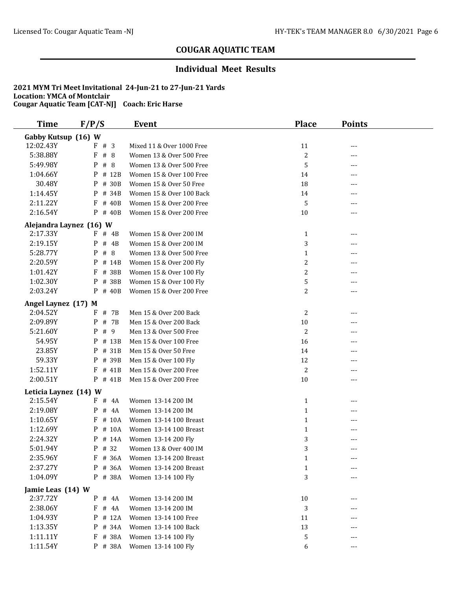### **Individual Meet Results**

| <b>Time</b>           | F/P/S                   | Event                     | <b>Place</b>   | <b>Points</b> |  |  |  |
|-----------------------|-------------------------|---------------------------|----------------|---------------|--|--|--|
|                       | Gabby Kutsup (16) W     |                           |                |               |  |  |  |
| 12:02.43Y             | # 3<br>F                | Mixed 11 & Over 1000 Free | 11             | ---           |  |  |  |
| 5:38.88Y              | #8<br>F                 | Women 13 & Over 500 Free  | $\overline{c}$ | ---           |  |  |  |
| 5:49.98Y              | P<br>#8                 | Women 13 & Over 500 Free  | 5              | ---           |  |  |  |
| 1:04.66Y              | P<br># 12B              | Women 15 & Over 100 Free  | 14             | ---           |  |  |  |
| 30.48Y                | P<br># 30B              | Women 15 & Over 50 Free   | 18             | ---           |  |  |  |
| 1:14.45Y              | # 34B<br>P              | Women 15 & Over 100 Back  | 14             | ---           |  |  |  |
| 2:11.22Y              | # 40B<br>F              | Women 15 & Over 200 Free  | 5              | ---           |  |  |  |
| 2:16.54Y              | $P$ # 40B               | Women 15 & Over 200 Free  | 10             | ---           |  |  |  |
|                       | Alejandra Laynez (16) W |                           |                |               |  |  |  |
| 2:17.33Y              | # 4B<br>F               | Women 15 & Over 200 IM    | $\mathbf{1}$   | ---           |  |  |  |
| 2:19.15Y              | P<br># 4B               | Women 15 & Over 200 IM    | 3              | ---           |  |  |  |
| 5:28.77Y              | P<br>#8                 | Women 13 & Over 500 Free  | $\mathbf{1}$   | ---           |  |  |  |
| 2:20.59Y              | P<br># 14B              | Women 15 & Over 200 Fly   | $\overline{c}$ | ---           |  |  |  |
| 1:01.42Y              | F<br># 38B              | Women 15 & Over 100 Fly   | $\overline{c}$ | ---           |  |  |  |
| 1:02.30Y              | P<br># 38B              | Women 15 & Over 100 Fly   | 5              | ---           |  |  |  |
| 2:03.24Y              | # 40B<br>P              | Women 15 & Over 200 Free  | 2              | ---           |  |  |  |
| Angel Laynez (17) M   |                         |                           |                |               |  |  |  |
| 2:04.52Y              | $F$ # 7B                | Men 15 & Over 200 Back    | 2              | ---           |  |  |  |
| 2:09.89Y              | P<br># 7B               | Men 15 & Over 200 Back    | 10             | ---           |  |  |  |
| 5:21.60Y              | # 9<br>P                | Men 13 & Over 500 Free    | 2              | ---           |  |  |  |
| 54.95Y                | # 13B<br>P              | Men 15 & Over 100 Free    | 16             | ---           |  |  |  |
| 23.85Y                | P<br># 31B              | Men 15 & Over 50 Free     | 14             | ---           |  |  |  |
| 59.33Y                | P<br># 39B              | Men 15 & Over 100 Fly     | 12             | ---           |  |  |  |
| 1:52.11Y              | F<br># 41B              | Men 15 & Over 200 Free    | $\overline{c}$ | ---           |  |  |  |
| 2:00.51Y              | P # 41B                 | Men 15 & Over 200 Free    | 10             | ---           |  |  |  |
| Leticia Laynez (14) W |                         |                           |                |               |  |  |  |
| 2:15.54Y              | F<br># 4A               | Women 13-14 200 IM        | $\mathbf{1}$   | ---           |  |  |  |
| 2:19.08Y              | P<br># 4A               | Women 13-14 200 IM        | $\mathbf{1}$   | ---           |  |  |  |
| 1:10.65Y              | # 10A<br>F              | Women 13-14 100 Breast    | $\mathbf{1}$   | ---           |  |  |  |
| 1:12.69Y              | # 10A<br>P              | Women 13-14 100 Breast    | $\mathbf{1}$   | ---           |  |  |  |
| 2:24.32Y              | # 14A<br>P              | Women 13-14 200 Fly       | 3              |               |  |  |  |
| 5:01.94Y              | $P$ # 32                | Women 13 & Over 400 IM    | 3              | ---           |  |  |  |
| 2:35.96Y              | # 36A<br>F              | Women 13-14 200 Breast    | $\mathbf{1}$   |               |  |  |  |
| 2:37.27Y              | # 36A<br>P              | Women 13-14 200 Breast    | $\mathbf{1}$   |               |  |  |  |
| 1:04.09Y              | P # 38A                 | Women 13-14 100 Fly       | 3              | ---           |  |  |  |
| Jamie Leas (14) W     |                         |                           |                |               |  |  |  |
| 2:37.72Y              | $\mathbf{P}$<br># 4A    | Women 13-14 200 IM        | 10             | ---           |  |  |  |
| 2:38.06Y              | F<br># 4A               | Women 13-14 200 IM        | 3              |               |  |  |  |
| 1:04.93Y              | # 12A<br>P              | Women 13-14 100 Free      | 11             |               |  |  |  |
| 1:13.35Y              | # 34A<br>P              | Women 13-14 100 Back      | 13             |               |  |  |  |
| 1:11.11Y              | # 38A<br>F              | Women 13-14 100 Fly       | 5              | ---           |  |  |  |
| 1:11.54Y              | P # 38A                 | Women 13-14 100 Fly       | 6              | ---           |  |  |  |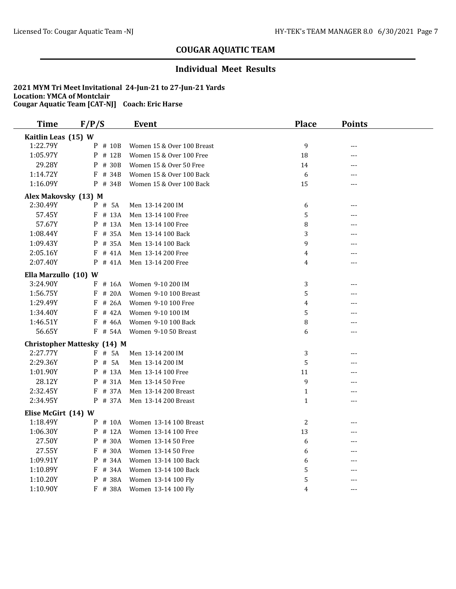## **Individual Meet Results**

| <b>Time</b>          | F/P/S                              | <b>Event</b>               | <b>Place</b> | <b>Points</b> |  |
|----------------------|------------------------------------|----------------------------|--------------|---------------|--|
| Kaitlin Leas (15) W  |                                    |                            |              |               |  |
| 1:22.79Y             | P # 10B                            | Women 15 & Over 100 Breast | 9            | $---$         |  |
| 1:05.97Y             | P # 12B                            | Women 15 & Over 100 Free   | 18           | ---           |  |
| 29.28Y               | $P$ # 30B                          | Women 15 & Over 50 Free    | 14           | $---$         |  |
| 1:14.72Y             | $F$ # 34B                          | Women 15 & Over 100 Back   | 6            | ---           |  |
| 1:16.09Y             | $P$ # 34B                          | Women 15 & Over 100 Back   | 15           | ---           |  |
| Alex Makovsky (13) M |                                    |                            |              |               |  |
| 2:30.49Y             | P # 5A                             | Men 13-14 200 IM           | 6            | ---           |  |
| 57.45Y               | $F$ # 13A                          | Men 13-14 100 Free         | 5            | ---           |  |
| 57.67Y               | # 13A<br>P                         | Men 13-14 100 Free         | 8            | ---           |  |
| 1:08.44Y             | $F$ # 35A                          | Men 13-14 100 Back         | 3            |               |  |
| 1:09.43Y             | P<br># 35A                         | Men 13-14 100 Back         | 9            |               |  |
| 2:05.16Y             | $F$ # 41A                          | Men 13-14 200 Free         | 4            | ---           |  |
| 2:07.40Y             | $P$ # 41A                          | Men 13-14 200 Free         | 4            | ---           |  |
| Ella Marzullo (10) W |                                    |                            |              |               |  |
| 3:24.90Y             | $F$ # 16A                          | Women 9-10 200 IM          | 3            |               |  |
| 1:56.75Y             | $F$ # 20A                          | Women 9-10 100 Breast      | 5            |               |  |
| 1:29.49Y             | # 26A<br>F                         | Women 9-10 100 Free        | 4            | ---           |  |
| 1:34.40Y             | $F$ # 42A                          | Women 9-10 100 IM          | 5            |               |  |
| 1:46.51Y             | $F$ # 46A                          | Women 9-10 100 Back        | 8            | ---           |  |
| 56.65Y               | F # 54A                            | Women 9-10 50 Breast       | 6            | ---           |  |
|                      | <b>Christopher Mattesky (14) M</b> |                            |              |               |  |
| 2:27.77Y             | F # 5A                             | Men 13-14 200 IM           | 3            | ---           |  |
| 2:29.36Y             | P # 5A                             | Men 13-14 200 IM           | 5            |               |  |
| 1:01.90Y             | $P$ # 13A                          | Men 13-14 100 Free         | 11           |               |  |
| 28.12Y               | $P$ # 31A                          | Men 13-14 50 Free          | 9            |               |  |
| 2:32.45Y             | $F$ # 37A                          | Men 13-14 200 Breast       | $\mathbf{1}$ |               |  |
| 2:34.95Y             | P # 37A                            | Men 13-14 200 Breast       | $\mathbf{1}$ | ---           |  |
| Elise McGirt (14) W  |                                    |                            |              |               |  |
| 1:18.49Y             | $P$ # 10A                          | Women 13-14 100 Breast     | 2            | ---           |  |
| 1:06.30Y             | $P$ # 12A                          | Women 13-14 100 Free       | 13           | ---           |  |
| 27.50Y               | # 30A<br>P                         | Women 13-14 50 Free        | 6            |               |  |
| 27.55Y               | $F$ # 30A                          | Women 13-14 50 Free        | 6            |               |  |
| 1:09.91Y             | P<br># 34A                         | Women 13-14 100 Back       | 6            | ---           |  |
| 1:10.89Y             | F # 34A                            | Women 13-14 100 Back       | 5            | ---           |  |
| 1:10.20Y             | # 38A<br>P                         | Women 13-14 100 Fly        | 5            | ---           |  |
| 1:10.90Y             | F # 38A                            | Women 13-14 100 Fly        | 4            | $---$         |  |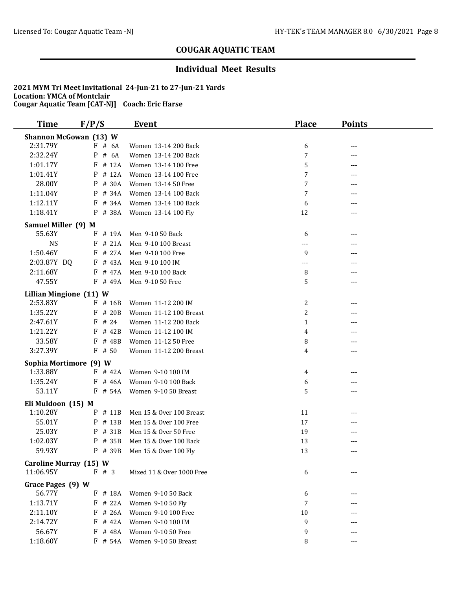## **Individual Meet Results**

| <b>Time</b>                         | F/P/S                  | Event                                   | <b>Place</b> | <b>Points</b> |  |
|-------------------------------------|------------------------|-----------------------------------------|--------------|---------------|--|
| <b>Shannon McGowan (13) W</b>       |                        |                                         |              |               |  |
| 2:31.79Y                            | $F$ # 6A               | Women 13-14 200 Back                    | 6            | ---           |  |
| 2:32.24Y                            | # 6A<br>P              | Women 13-14 200 Back                    | 7            | ---           |  |
| 1:01.17Y                            | $F$ # 12A              | Women 13-14 100 Free                    | 5            |               |  |
| 1:01.41Y                            | $P$ # 12A              | Women 13-14 100 Free                    | 7            | ---           |  |
| 28.00Y                              | P # 30A                | Women 13-14 50 Free                     | 7            | ---           |  |
| 1:11.04Y                            | P # 34A                | Women 13-14 100 Back                    | 7            |               |  |
| 1:12.11Y                            | $F$ # 34A              | Women 13-14 100 Back                    | 6            |               |  |
| 1:18.41Y                            | P # 38A                | Women 13-14 100 Fly                     | 12           | ---           |  |
| Samuel Miller (9) M                 |                        |                                         |              |               |  |
| 55.63Y                              | $F$ # 19A              | Men 9-10 50 Back                        | 6            | ---           |  |
| <b>NS</b>                           | $F$ # 21A              | Men 9-10 100 Breast                     | ---          | ---           |  |
| 1:50.46Y                            | $F$ # 27A              | Men 9-10 100 Free                       | 9            | ---           |  |
| 2:03.87Y DQ                         | F # 43A                | Men 9-10 100 IM                         | ---          | ---           |  |
| 2:11.68Y                            | $F$ # 47A              | Men 9-10 100 Back                       | 8            |               |  |
| 47.55Y                              | $F$ # 49A              | Men 9-10 50 Free                        | 5            | ---           |  |
| Lillian Mingione (11) W             |                        |                                         |              |               |  |
| 2:53.83Y                            | F # 16B                | Women 11-12 200 IM                      | 2            | ---           |  |
| 1:35.22Y                            | $F$ # 20B              | Women 11-12 100 Breast                  | 2            | ---           |  |
| 2:47.61Y                            | $F$ # 24               | Women 11-12 200 Back                    | $\mathbf{1}$ |               |  |
| 1:21.22Y                            | $F$ # 42B              | Women 11-12 100 IM                      | 4            | ---           |  |
| 33.58Y                              | F # 48B                | Women 11-12 50 Free                     | 8            | ---           |  |
| 3:27.39Y                            | $F$ # 50               | Women 11-12 200 Breast                  | 4            | ---           |  |
| Sophia Mortimore (9) W              |                        |                                         |              |               |  |
| 1:33.88Y                            | $F$ # 42A              | Women 9-10 100 IM                       | 4            | ---           |  |
| 1:35.24Y                            | $F$ # 46A              | Women 9-10 100 Back                     | 6            |               |  |
| 53.11Y                              | $F$ # 54A              | Women 9-10 50 Breast                    | 5            | ---           |  |
| Eli Muldoon (15) M                  |                        |                                         |              |               |  |
| 1:10.28Y                            | $P$ # 11B              | Men 15 & Over 100 Breast                | 11           | ---           |  |
| 55.01Y                              | $P$ # 13B              | Men 15 & Over 100 Free                  | 17           | ---           |  |
| 25.03Y                              | P # 31B                | Men 15 & Over 50 Free                   | 19           | ---           |  |
| 1:02.03Y                            | P # 35B                | Men 15 & Over 100 Back                  | 13           |               |  |
| 59.93Y                              | P # 39B                | Men 15 & Over 100 Fly                   | 13           |               |  |
|                                     |                        |                                         |              |               |  |
| Caroline Murray (15) W<br>11:06.95Y | $F \# 3$               | Mixed 11 & Over 1000 Free               | 6            | ---           |  |
|                                     |                        |                                         |              |               |  |
| Grace Pages (9) W<br>56.77Y         |                        |                                         |              |               |  |
| 1:13.71Y                            | $F$ # 18A<br>$F$ # 22A | Women 9-10 50 Back<br>Women 9-10 50 Fly | 6<br>7       |               |  |
| 2:11.10Y                            | # 26A<br>F             | Women 9-10 100 Free                     | 10           |               |  |
| 2:14.72Y                            |                        |                                         |              |               |  |
| 56.67Y                              | $F$ # 42A<br>$F$ # 48A | Women 9-10 100 IM<br>Women 9-10 50 Free | 9<br>9       |               |  |
| 1:18.60Y                            | $F$ # 54A              | Women 9-10 50 Breast                    |              | ---           |  |
|                                     |                        |                                         | 8            | ---           |  |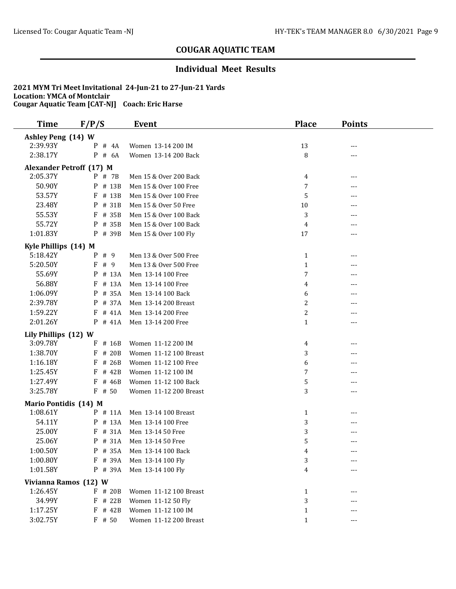### **Individual Meet Results**

| <b>Time</b>                     | F/P/S      | <b>Event</b>           | <b>Place</b>   | <b>Points</b> |  |
|---------------------------------|------------|------------------------|----------------|---------------|--|
| Ashley Peng (14) W              |            |                        |                |               |  |
| 2:39.93Y                        | $P$ # 4A   | Women 13-14 200 IM     | 13             |               |  |
| 2:38.17Y                        | $P$ # 6A   | Women 13-14 200 Back   | 8              | $---$         |  |
| <b>Alexander Petroff (17) M</b> |            |                        |                |               |  |
| 2:05.37Y                        | P # 7B     | Men 15 & Over 200 Back | 4              | ---           |  |
| 50.90Y                          | P # 13B    | Men 15 & Over 100 Free | 7              |               |  |
| 53.57Y                          | $F$ # 13B  | Men 15 & Over 100 Free | 5              |               |  |
| 23.48Y                          | # 31B<br>P | Men 15 & Over 50 Free  | 10             |               |  |
| 55.53Y                          | $F$ # 35B  | Men 15 & Over 100 Back | 3              |               |  |
| 55.72Y                          | P # 35B    | Men 15 & Over 100 Back | 4              |               |  |
| 1:01.83Y                        | P # 39B    | Men 15 & Over 100 Fly  | 17             | ---           |  |
| Kyle Phillips (14) M            |            |                        |                |               |  |
| 5:18.42Y                        | P # 9      | Men 13 & Over 500 Free | 1              | ---           |  |
| 5:20.50Y                        | F#9        | Men 13 & Over 500 Free | $\mathbf{1}$   | ---           |  |
| 55.69Y                          | $P$ # 13A  | Men 13-14 100 Free     | 7              | ---           |  |
| 56.88Y                          | F # 13A    | Men 13-14 100 Free     | 4              | ---           |  |
| 1:06.09Y                        | P # 35A    | Men 13-14 100 Back     | 6              | ---           |  |
| 2:39.78Y                        | P # 37A    | Men 13-14 200 Breast   | $\overline{c}$ |               |  |
| 1:59.22Y                        | # 41A<br>F | Men 13-14 200 Free     | $\overline{c}$ | ---           |  |
| 2:01.26Y                        | $P$ # 41A  | Men 13-14 200 Free     | $\mathbf{1}$   |               |  |
| Lily Phillips (12) W            |            |                        |                |               |  |
| 3:09.78Y                        | # 16B<br>F | Women 11-12 200 IM     | 4              | ---           |  |
| 1:38.70Y                        | F<br># 20B | Women 11-12 100 Breast | 3              |               |  |
| 1:16.18Y                        | $F$ # 26B  | Women 11-12 100 Free   | 6              | ---           |  |
| 1:25.45Y                        | $F$ # 42B  | Women 11-12 100 IM     | 7              |               |  |
| 1:27.49Y                        | # 46B<br>F | Women 11-12 100 Back   | 5              | ---           |  |
| 3:25.78Y                        | $F$ # 50   | Women 11-12 200 Breast | 3              | ---           |  |
| Mario Pontidis (14) M           |            |                        |                |               |  |
| 1:08.61Y                        | $P$ # 11A  | Men 13-14 100 Breast   | 1              | ---           |  |
| 54.11Y                          | $P$ # 13A  | Men 13-14 100 Free     | 3              | ---           |  |
| 25.00Y                          | $F$ # 31A  | Men 13-14 50 Free      | 3              | ---           |  |
| 25.06Y                          | P # 31A    | Men 13-14 50 Free      | 5              | ---           |  |
| 1:00.50Y                        | P # 35A    | Men 13-14 100 Back     | 4              | $---$         |  |
| 1:00.80Y                        | F # 39A    | Men 13-14 100 Fly      | 3              |               |  |
| 1:01.58Y                        | P # 39A    | Men 13-14 100 Fly      | 4              |               |  |
| Vivianna Ramos (12) W           |            |                        |                |               |  |
| 1:26.45Y                        | F # 20B    | Women 11-12 100 Breast | $\mathbf{1}$   |               |  |
| 34.99Y                          | F # 22B    | Women 11-12 50 Fly     | 3              |               |  |
| 1:17.25Y                        | F # 42B    | Women 11-12 100 IM     | $\mathbf{1}$   |               |  |
| 3:02.75Y                        | $F$ # 50   | Women 11-12 200 Breast | $\mathbf{1}$   |               |  |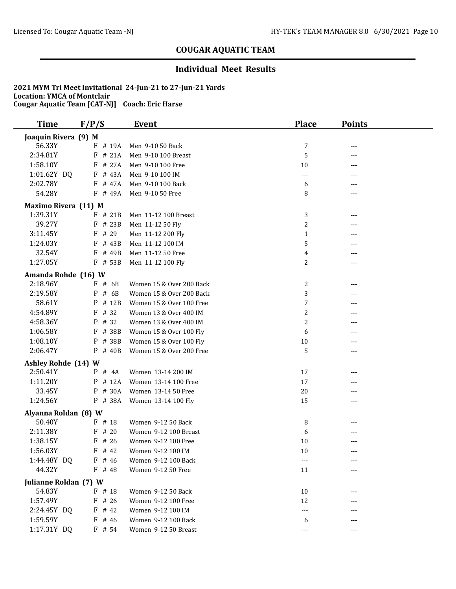## **Individual Meet Results**

| <b>Time</b>           | F/P/S                | <b>Event</b>             | <b>Place</b>            | <b>Points</b> |  |  |  |  |
|-----------------------|----------------------|--------------------------|-------------------------|---------------|--|--|--|--|
|                       | Joaquin Rivera (9) M |                          |                         |               |  |  |  |  |
| 56.33Y                | F # 19A              | Men 9-10 50 Back         | 7                       | $---$         |  |  |  |  |
| 2:34.81Y              | # 21A<br>F           | Men 9-10 100 Breast      | 5                       | ---           |  |  |  |  |
| 1:58.10Y              | # 27A<br>F           | Men 9-10 100 Free        | $10\,$                  | $---$         |  |  |  |  |
| 1:01.62Y DQ           | F # 43A              | Men 9-10 100 IM          | ---                     | ---           |  |  |  |  |
| 2:02.78Y              | F # 47A              | Men 9-10 100 Back        | 6                       | ---           |  |  |  |  |
| 54.28Y                | F # 49A              | Men 9-10 50 Free         | 8                       | ---           |  |  |  |  |
| Maximo Rivera (11) M  |                      |                          |                         |               |  |  |  |  |
| 1:39.31Y              | $F$ # 21B            | Men 11-12 100 Breast     | 3                       | ---           |  |  |  |  |
| 39.27Y                | $F$ # 23B            | Men 11-12 50 Fly         | 2                       |               |  |  |  |  |
| 3:11.45Y              | $F$ # 29             | Men 11-12 200 Fly        | $\mathbf{1}$            |               |  |  |  |  |
| 1:24.03Y              | $F$ # 43B            | Men 11-12 100 IM         | 5                       | ---           |  |  |  |  |
| 32.54Y                | F # 49B              | Men 11-12 50 Free        | 4                       | $---$         |  |  |  |  |
| 1:27.05Y              | F # 53B              | Men 11-12 100 Fly        | 2                       | $---$         |  |  |  |  |
| Amanda Rohde (16) W   |                      |                          |                         |               |  |  |  |  |
| 2:18.96Y              | $F$ # 6B             | Women 15 & Over 200 Back | 2                       | $- - -$       |  |  |  |  |
| 2:19.58Y              | # 6B<br>P            | Women 15 & Over 200 Back | 3                       |               |  |  |  |  |
| 58.61Y                | P<br># 12B           | Women 15 & Over 100 Free | 7                       |               |  |  |  |  |
| 4:54.89Y              | F<br># 32            | Women 13 & Over 400 IM   | $\overline{\mathbf{c}}$ |               |  |  |  |  |
| 4:58.36Y              | # 32<br>P            | Women 13 & Over 400 IM   | $\overline{c}$          |               |  |  |  |  |
| 1:06.58Y              | $F$ # 38B            | Women 15 & Over 100 Fly  | 6                       |               |  |  |  |  |
| 1:08.10Y              | P # 38B              | Women 15 & Over 100 Fly  | $10\,$                  | ---           |  |  |  |  |
| 2:06.47Y              | $P$ # 40B            | Women 15 & Over 200 Free | 5                       | $---$         |  |  |  |  |
| Ashley Rohde (14) W   |                      |                          |                         |               |  |  |  |  |
| 2:50.41Y              | $P$ # 4A             | Women 13-14 200 IM       | 17                      | ---           |  |  |  |  |
| 1:11.20Y              | P # 12A              | Women 13-14 100 Free     | 17                      |               |  |  |  |  |
| 33.45Y                | # 30A<br>P           | Women 13-14 50 Free      | 20                      | ---           |  |  |  |  |
| 1:24.56Y              | P # 38A              | Women 13-14 100 Fly      | 15                      | ---           |  |  |  |  |
| Alyanna Roldan (8) W  |                      |                          |                         |               |  |  |  |  |
| 50.40Y                | $F$ # 18             | Women 9-12 50 Back       | 8                       | ---           |  |  |  |  |
| 2:11.38Y              | # 20<br>F            | Women 9-12 100 Breast    | 6                       | $---$         |  |  |  |  |
| 1:38.15Y              | # 26<br>F            | Women 9-12 100 Free      | 10                      |               |  |  |  |  |
| 1:56.03Y              | $F$ # 42             | Women 9-12 100 IM        | 10                      | $---$         |  |  |  |  |
| 1:44.48Y DQ           | $F$ # 46             | Women 9-12 100 Back      | $---$                   | $---$         |  |  |  |  |
| 44.32Y                | $F$ # 48             | Women 9-12 50 Free       | 11                      | ---           |  |  |  |  |
| Julianne Roldan (7) W |                      |                          |                         |               |  |  |  |  |
| 54.83Y                | $F$ # 18             | Women 9-12 50 Back       | 10                      | ---           |  |  |  |  |
| 1:57.49Y              | $F$ # 26             | Women 9-12 100 Free      | 12                      |               |  |  |  |  |
| 2:24.45Y DQ           | $F$ # 42             | Women 9-12 100 IM        | ---                     |               |  |  |  |  |
| 1:59.59Y              | $F$ # 46             | Women 9-12 100 Back      | 6                       |               |  |  |  |  |
| 1:17.31Y DQ           | $F$ # 54             | Women 9-12 50 Breast     | ---                     | $---$         |  |  |  |  |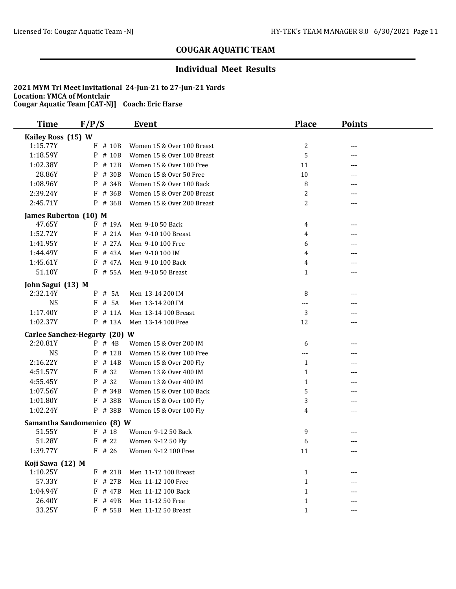## **Individual Meet Results**

| <b>Time</b>           | F/P/S                         | <b>Event</b>               | <b>Place</b>   | <b>Points</b> |  |
|-----------------------|-------------------------------|----------------------------|----------------|---------------|--|
| Kailey Ross (15) W    |                               |                            |                |               |  |
| 1:15.77Y              | $F$ # 10B                     | Women 15 & Over 100 Breast | 2              | ---           |  |
| 1:18.59Y              | P<br># 10B                    | Women 15 & Over 100 Breast | 5              | ---           |  |
| 1:02.38Y              | # 12B<br>P                    | Women 15 & Over 100 Free   | 11             |               |  |
| 28.86Y                | P<br># 30B                    | Women 15 & Over 50 Free    | $10\,$         | ---           |  |
| 1:08.96Y              | P # 34B                       | Women 15 & Over 100 Back   | 8              |               |  |
| 2:39.24Y              | $F$ # 36B                     | Women 15 & Over 200 Breast | 2              | ---           |  |
| 2:45.71Y              | P # 36B                       | Women 15 & Over 200 Breast | 2              | ---           |  |
| James Ruberton (10) M |                               |                            |                |               |  |
| 47.65Y                | F # 19A                       | Men 9-10 50 Back           | 4              |               |  |
| 1:52.72Y              | $F$ # 21A                     | Men 9-10 100 Breast        | 4              |               |  |
| 1:41.95Y              | # 27A<br>F                    | Men 9-10 100 Free          | 6              | ---           |  |
| 1:44.49Y              | $F$ # 43A                     | Men 9-10 100 IM            | 4              |               |  |
| 1:45.61Y              | # 47A<br>F                    | Men 9-10 100 Back          | 4              | ---           |  |
| 51.10Y                | $F$ # 55A                     | Men 9-10 50 Breast         | 1              | ---           |  |
| John Sagui (13) M     |                               |                            |                |               |  |
| 2:32.14Y              | # 5A<br>P                     | Men 13-14 200 IM           | 8              | ---           |  |
| <b>NS</b>             | # 5A<br>F                     | Men 13-14 200 IM           | ---            |               |  |
| 1:17.40Y              | # 11A<br>P                    | Men 13-14 100 Breast       | 3              |               |  |
| 1:02.37Y              | P # 13A                       | Men 13-14 100 Free         | 12             | ---           |  |
|                       | Carlee Sanchez-Hegarty (20) W |                            |                |               |  |
| 2:20.81Y              | $P$ # 4B                      | Women 15 & Over 200 IM     | 6              | ---           |  |
| <b>NS</b>             | # 12B<br>P                    | Women 15 & Over 100 Free   | ---            | ---           |  |
| 2:16.22Y              | P<br># 14B                    | Women 15 & Over 200 Fly    | $\mathbf{1}$   | ---           |  |
| 4:51.57Y              | $F$ # 32                      | Women 13 & Over 400 IM     | 1              | ---           |  |
| 4:55.45Y              | P # 32                        | Women 13 & Over 400 IM     | 1              | ---           |  |
| 1:07.56Y              | P # 34B                       | Women 15 & Over 100 Back   | 5              |               |  |
| 1:01.80Y              | F # 38B                       | Women 15 & Over 100 Fly    | 3              | ---           |  |
| 1:02.24Y              | P # 38B                       | Women 15 & Over 100 Fly    | $\overline{4}$ | ---           |  |
|                       | Samantha Sandomenico (8) W    |                            |                |               |  |
| 51.55Y                | $F$ # 18                      | Women 9-12 50 Back         | 9              |               |  |
| 51.28Y                | # 22<br>F                     | Women 9-12 50 Fly          | 6              | ---           |  |
| 1:39.77Y              | $F$ # 26                      | Women 9-12 100 Free        | 11             | $---$         |  |
| Koji Sawa (12) M      |                               |                            |                |               |  |
| 1:10.25Y              | $F$ # 21B                     | Men 11-12 100 Breast       | $\mathbf{1}$   |               |  |
| 57.33Y                | $F$ # 27B                     | Men 11-12 100 Free         | $\mathbf{1}$   |               |  |
| 1:04.94Y              | F<br># 47B                    | Men 11-12 100 Back         | $\mathbf{1}$   |               |  |
| 26.40Y                | F<br># 49B                    | Men 11-12 50 Free          | $\mathbf{1}$   |               |  |
| 33.25Y                | F # 55B                       | Men 11-12 50 Breast        | $\mathbf{1}$   | $--$          |  |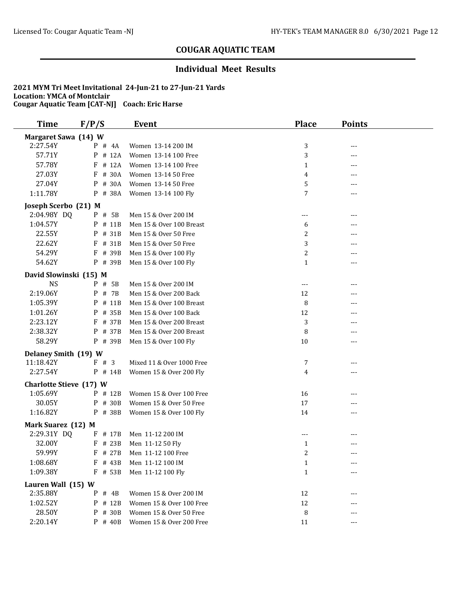## **Individual Meet Results**

| <b>Time</b>                    | F/P/S      | <b>Event</b>              | <b>Place</b>         | <b>Points</b> |
|--------------------------------|------------|---------------------------|----------------------|---------------|
| Margaret Sawa (14) W           |            |                           |                      |               |
| 2:27.54Y                       | $P$ # 4A   | Women 13-14 200 IM        | 3                    | ---           |
| 57.71Y                         | P<br># 12A | Women 13-14 100 Free      | 3                    | ---           |
| 57.78Y                         | # 12A<br>F | Women 13-14 100 Free      | $\mathbf{1}$         |               |
| 27.03Y                         | # 30A<br>F | Women 13-14 50 Free       | 4                    | ---           |
| 27.04Y                         | # 30A<br>P | Women 13-14 50 Free       | 5                    |               |
| 1:11.78Y                       | P # 38A    | Women 13-14 100 Fly       | 7                    | $---$         |
| Joseph Scerbo (21) M           |            |                           |                      |               |
| 2:04.98Y DQ                    | P # 5B     | Men 15 & Over 200 IM      | $---$                | ---           |
| 1:04.57Y                       | P<br># 11B | Men 15 & Over 100 Breast  | 6                    |               |
| 22.55Y                         | P # 31B    | Men 15 & Over 50 Free     | 2                    |               |
| 22.62Y                         | F # 31B    | Men 15 & Over 50 Free     | 3                    |               |
| 54.29Y                         | F # 39B    | Men 15 & Over 100 Fly     | $\boldsymbol{2}$     |               |
| 54.62Y                         | P # 39B    | Men 15 & Over 100 Fly     | $\mathbf{1}$         | ---           |
| David Slowinski (15) M         |            |                           |                      |               |
| <b>NS</b>                      | P # 5B     | Men 15 & Over 200 IM      | $\sim$ $\sim$ $\sim$ | ---           |
| 2:19.06Y                       | # 7B<br>P  | Men 15 & Over 200 Back    | 12                   |               |
| 1:05.39Y                       | # 11B<br>P | Men 15 & Over 100 Breast  | 8                    |               |
| 1:01.26Y                       | # 35B<br>P | Men 15 & Over 100 Back    | 12                   |               |
| 2:23.12Y                       | F # 37B    | Men 15 & Over 200 Breast  | 3                    |               |
| 2:38.32Y                       | P # 37B    | Men 15 & Over 200 Breast  | 8                    |               |
| 58.29Y                         | P # 39B    | Men 15 & Over 100 Fly     | 10                   | ---           |
|                                |            |                           |                      |               |
| Delaney Smith (19) W           |            |                           |                      |               |
| 11:18.42Y                      | F # 3      | Mixed 11 & Over 1000 Free | 7                    | ---           |
| 2:27.54Y                       | $P$ # 14B  | Women 15 & Over 200 Fly   | 4                    | $--$          |
| <b>Charlotte Stieve (17) W</b> |            |                           |                      |               |
| 1:05.69Y                       | P # 12B    | Women 15 & Over 100 Free  | 16                   | ---           |
| 30.05Y                         | # 30B<br>P | Women 15 & Over 50 Free   | 17                   |               |
| 1:16.82Y                       | P # 38B    | Women 15 & Over 100 Fly   | 14                   |               |
| Mark Suarez (12) M             |            |                           |                      |               |
| 2:29.31Y DQ                    | F # 17B    | Men 11-12 200 IM          | ---                  |               |
| 32.00Y                         | F # 23B    | Men 11-12 50 Fly          | 1                    |               |
| 59.99Y                         | $F$ # 27B  | Men 11-12 100 Free        | $\mathcal{L}$        |               |
| 1:08.68Y                       | $F$ # 43B  | Men 11-12 100 IM          | 1                    |               |
| 1:09.38Y                       | $F$ # 53B  | Men 11-12 100 Fly         | $\mathbf{1}$         |               |
| Lauren Wall (15) W             |            |                           |                      |               |
| 2:35.88Y                       | $P$ # 4B   | Women 15 & Over 200 IM    | 12                   |               |
| 1:02.52Y                       | $P$ # 12B  | Women 15 & Over 100 Free  | 12                   |               |
| 28.50Y                         | P # 30B    | Women 15 & Over 50 Free   | 8                    |               |
| 2:20.14Y                       | P # 40B    | Women 15 & Over 200 Free  | 11                   |               |